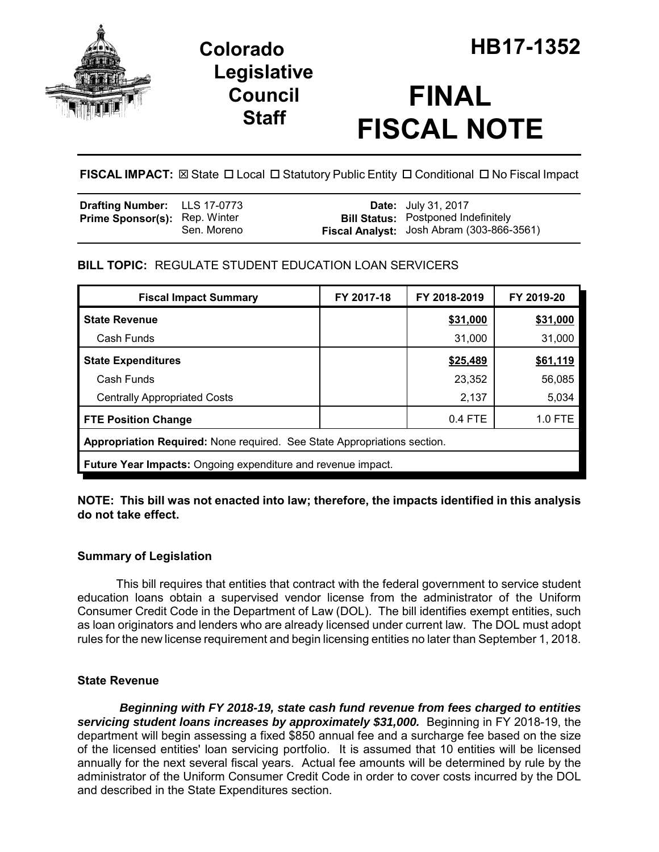

# **Legislative Council Staff**

# **FINAL FISCAL NOTE**

FISCAL IMPACT:  $\boxtimes$  State  $\Box$  Local  $\Box$  Statutory Public Entity  $\Box$  Conditional  $\Box$  No Fiscal Impact

| <b>Drafting Number:</b> LLS 17-0773  |             | <b>Date:</b> July 31, 2017                                                              |
|--------------------------------------|-------------|-----------------------------------------------------------------------------------------|
| <b>Prime Sponsor(s): Rep. Winter</b> | Sen. Moreno | <b>Bill Status:</b> Postponed Indefinitely<br>Fiscal Analyst: Josh Abram (303-866-3561) |

# **BILL TOPIC:** REGULATE STUDENT EDUCATION LOAN SERVICERS

| <b>Fiscal Impact Summary</b>                                             | FY 2017-18 | FY 2018-2019 | FY 2019-20 |  |  |  |
|--------------------------------------------------------------------------|------------|--------------|------------|--|--|--|
| <b>State Revenue</b>                                                     |            | \$31,000     | \$31,000   |  |  |  |
| Cash Funds                                                               |            | 31,000       | 31,000     |  |  |  |
| <b>State Expenditures</b>                                                |            | \$25,489     | \$61,119   |  |  |  |
| Cash Funds                                                               |            | 23,352       | 56,085     |  |  |  |
| <b>Centrally Appropriated Costs</b>                                      |            | 2,137        | 5,034      |  |  |  |
| <b>FTE Position Change</b>                                               |            | $0.4$ FTE    | 1.0 FTE    |  |  |  |
| Appropriation Required: None required. See State Appropriations section. |            |              |            |  |  |  |
| <b>Future Year Impacts:</b> Ongoing expenditure and revenue impact.      |            |              |            |  |  |  |

**NOTE: This bill was not enacted into law; therefore, the impacts identified in this analysis do not take effect.**

## **Summary of Legislation**

This bill requires that entities that contract with the federal government to service student education loans obtain a supervised vendor license from the administrator of the Uniform Consumer Credit Code in the Department of Law (DOL). The bill identifies exempt entities, such as loan originators and lenders who are already licensed under current law. The DOL must adopt rules for the new license requirement and begin licensing entities no later than September 1, 2018.

## **State Revenue**

 *Beginning with FY 2018-19, state cash fund revenue from fees charged to entities servicing student loans increases by approximately \$31,000.* Beginning in FY 2018-19, the department will begin assessing a fixed \$850 annual fee and a surcharge fee based on the size of the licensed entities' loan servicing portfolio. It is assumed that 10 entities will be licensed annually for the next several fiscal years. Actual fee amounts will be determined by rule by the administrator of the Uniform Consumer Credit Code in order to cover costs incurred by the DOL and described in the State Expenditures section.